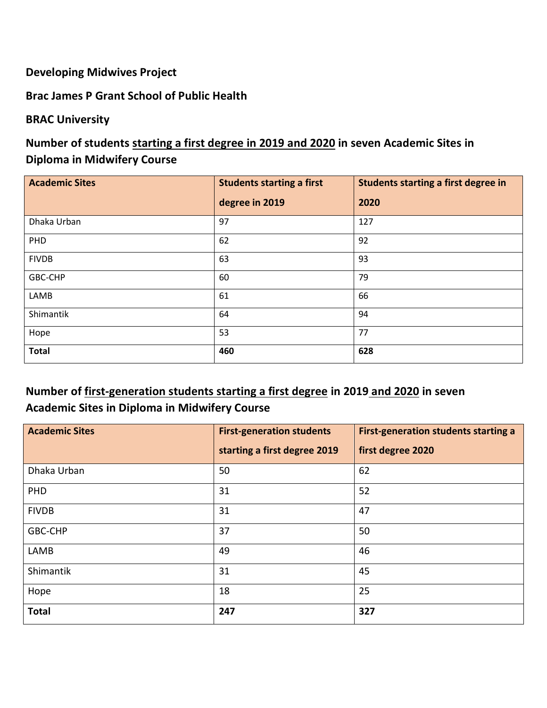### **Developing Midwives Project**

#### **Brac James P Grant School of Public Health**

#### **BRAC University**

## **Number of students starting a first degree in 2019 and 2020 in seven Academic Sites in Diploma in Midwifery Course**

| <b>Academic Sites</b> | <b>Students starting a first</b> | Students starting a first degree in |
|-----------------------|----------------------------------|-------------------------------------|
|                       | degree in 2019                   | 2020                                |
| Dhaka Urban           | 97                               | 127                                 |
| PHD                   | 62                               | 92                                  |
| <b>FIVDB</b>          | 63                               | 93                                  |
| GBC-CHP               | 60                               | 79                                  |
| LAMB                  | 61                               | 66                                  |
| Shimantik             | 64                               | 94                                  |
| Hope                  | 53                               | 77                                  |
| <b>Total</b>          | 460                              | 628                                 |

# **Number of first-generation students starting a first degree in 2019 and 2020 in seven Academic Sites in Diploma in Midwifery Course**

| <b>Academic Sites</b> | <b>First-generation students</b> | <b>First-generation students starting a</b> |
|-----------------------|----------------------------------|---------------------------------------------|
|                       | starting a first degree 2019     | first degree 2020                           |
| Dhaka Urban           | 50                               | 62                                          |
| PHD                   | 31                               | 52                                          |
| <b>FIVDB</b>          | 31                               | 47                                          |
| GBC-CHP               | 37                               | 50                                          |
| LAMB                  | 49                               | 46                                          |
| Shimantik             | 31                               | 45                                          |
| Hope                  | 18                               | 25                                          |
| <b>Total</b>          | 247                              | 327                                         |